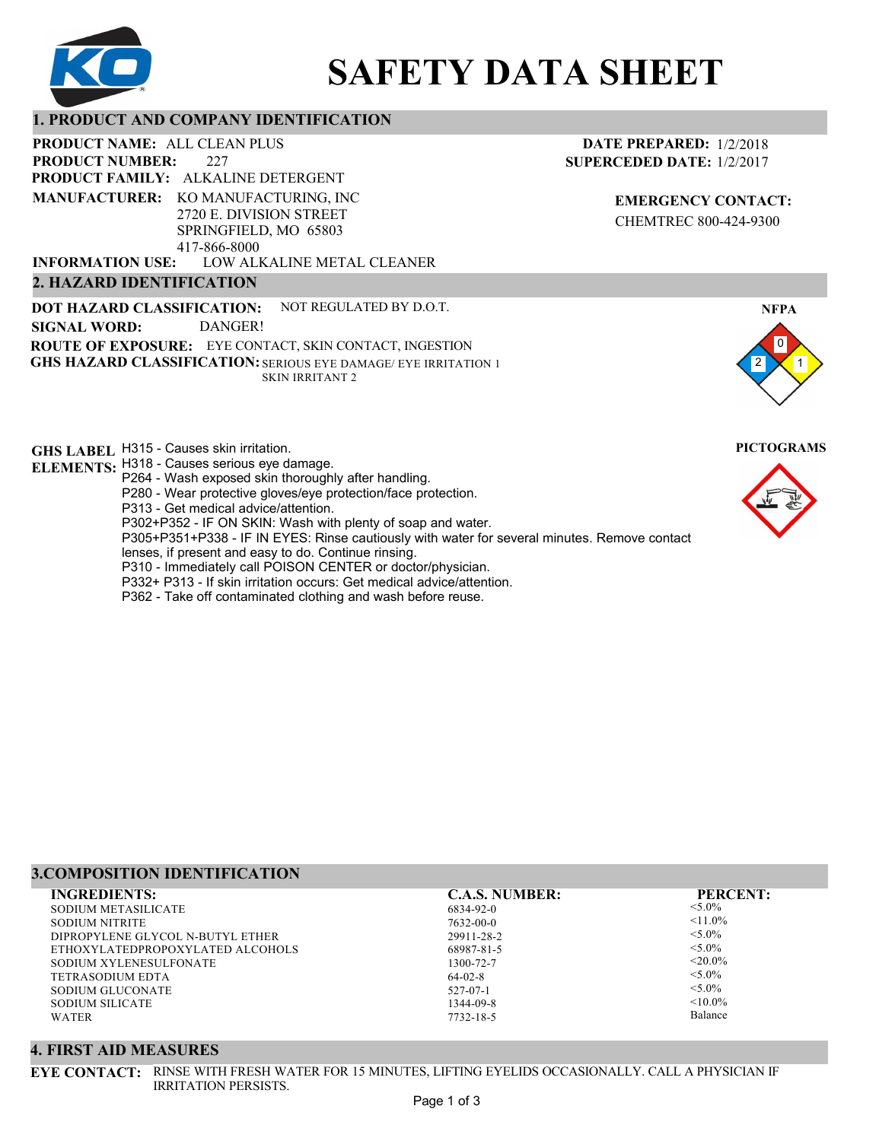

# **SAFETY DATA SHEET**

# **1. PRODUCT AND COMPANY IDENTIFICATION**

227 **PRODUCT NAME: ALL CLEAN PLUS PRODUCT FAMILY: ALKALINE DETERGENT** LOW ALKALINE METAL CLEANER **PRODUCT NUMBER: MANUFACTURER:** KO MANUFACTURING, INC 2720 E. DIVISION STREET SPRINGFIELD, MO 65803 417-866-8000 **INFORMATION USE:**

# **2. HAZARD IDENTIFICATION**

**DOT HAZARD CLASSIFICATION: GHS HAZARD CLASSIFICATION:** SERIOUS EYE DAMAGE/ EYE IRRITATION 1 **ROUTE OF EXPOSURE:** EYE CONTACT, SKIN CONTACT, INGESTION NOT REGULATED BY D.O.T. SKIN IRRITANT 2 **SIGNAL WORD:** DANGER!

**GHS LABEL**  H315 - Causes skin irritation. **PICTOGRAMS**

- **ELEMENTS:** H318 Causes serious eye damage.
	- P264 Wash exposed skin thoroughly after handling.
	- P280 Wear protective gloves/eye protection/face protection.
	- P313 Get medical advice/attention.
	- P302+P352 IF ON SKIN: Wash with plenty of soap and water.

P305+P351+P338 - IF IN EYES: Rinse cautiously with water for several minutes. Remove contact

- lenses, if present and easy to do. Continue rinsing.
- P310 Immediately call POISON CENTER or doctor/physician.
- P332+ P313 If skin irritation occurs: Get medical advice/attention.
- P362 Take off contaminated clothing and wash before reuse.

### **DATE PREPARED:** 1/2/2018 **SUPERCEDED DATE:** 1/2/2017

**EMERGENCY CONTACT:** CHEMTREC 800-424-9300





#### **3.COMPOSITION IDENTIFICATION**

| <b>INGREDIENTS:</b>              | <b>C.A.S. NUMBER:</b> | <b>PERCENT:</b> |
|----------------------------------|-----------------------|-----------------|
| SODIUM METASILICATE              | 6834-92-0             | $< 5.0\%$       |
| SODIUM NITRITE                   | 7632-00-0             | $\leq 11.0\%$   |
| DIPROPYLENE GLYCOL N-BUTYL ETHER | 29911-28-2            | $< 5.0\%$       |
| ETHOXYLATEDPROPOXYLATED ALCOHOLS | 68987-81-5            | $< 5.0\%$       |
| SODIUM XYLENESULFONATE           | 1300-72-7             | $<$ 20.0%       |
| <b>TETRASODIUM EDTA</b>          | $64-02-8$             | $< 5.0\%$       |
| SODIUM GLUCONATE                 | $527 - 07 - 1$        | $< 5.0\%$       |
| SODIUM SILICATE                  | 1344-09-8             | $< 10.0\%$      |
| WATER                            | 7732-18-5             | Balance         |
|                                  |                       |                 |

#### **4. FIRST AID MEASURES**

**EYE CONTACT:** RINSE WITH FRESH WATER FOR 15 MINUTES, LIFTING EYELIDS OCCASIONALLY. CALL A PHYSICIAN IF IRRITATION PERSISTS.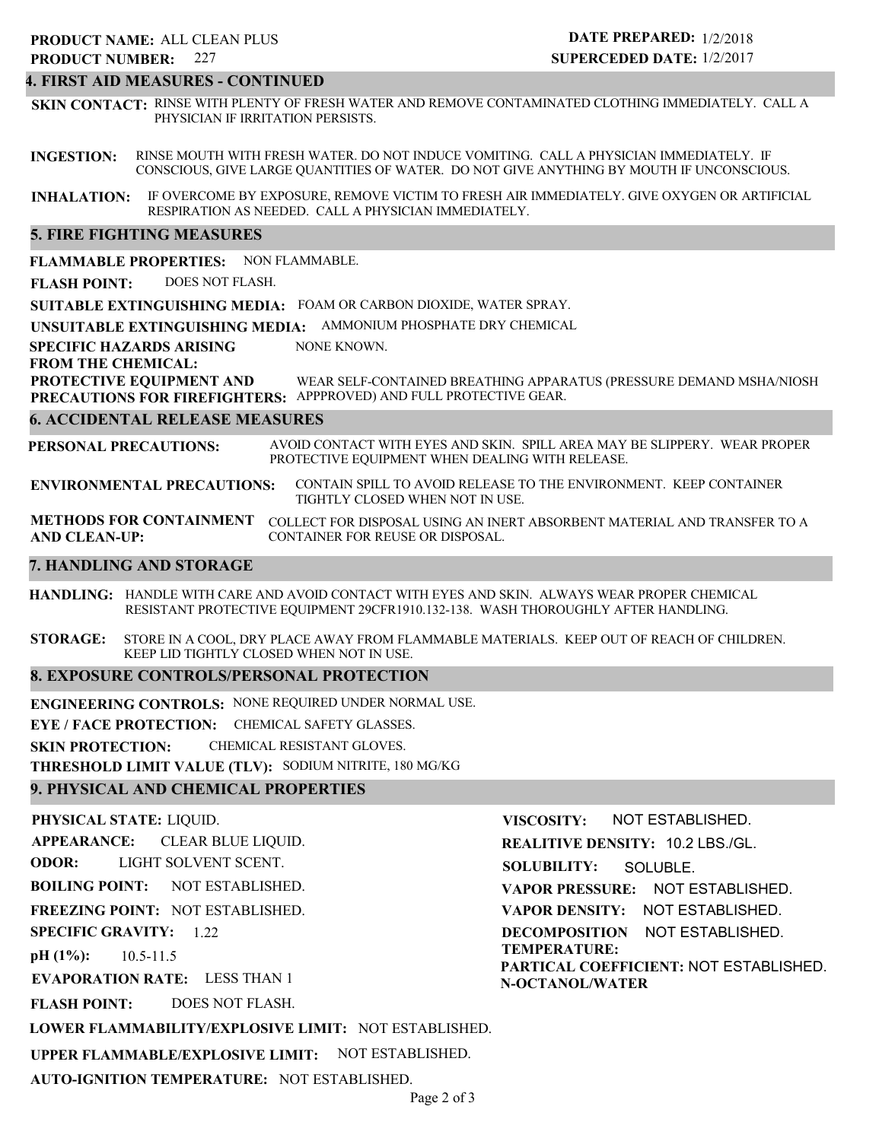#### **4. FIRST AID MEASURES - CONTINUED**

**SKIN CONTACT:** RINSE WITH PLENTY OF FRESH WATER AND REMOVE CONTAMINATED CLOTHING IMMEDIATELY. CALL A PHYSICIAN IF IRRITATION PERSISTS.

**INGESTION:** RINSE MOUTH WITH FRESH WATER. DO NOT INDUCE VOMITING. CALL A PHYSICIAN IMMEDIATELY. IF CONSCIOUS, GIVE LARGE QUANTITIES OF WATER. DO NOT GIVE ANYTHING BY MOUTH IF UNCONSCIOUS.

**INHALATION:** IF OVERCOME BY EXPOSURE, REMOVE VICTIM TO FRESH AIR IMMEDIATELY. GIVE OXYGEN OR ARTIFICIAL RESPIRATION AS NEEDED. CALL A PHYSICIAN IMMEDIATELY.

#### **5. FIRE FIGHTING MEASURES**

**FLAMMABLE PROPERTIES:** NON FLAMMABLE.

**FLASH POINT:** DOES NOT FLASH.

**SUITABLE EXTINGUISHING MEDIA:** FOAM OR CARBON DIOXIDE, WATER SPRAY.

**UNSUITABLE EXTINGUISHING MEDIA:** AMMONIUM PHOSPHATE DRY CHEMICAL

**SPECIFIC HAZARDS ARISING** NONE KNOWN.

#### **FROM THE CHEMICAL:**

**PROTECTIVE EQUIPMENT AND PRECAUTIONS FOR FIREFIGHTERS:** APPPROVED) AND FULL PROTECTIVE GEAR. WEAR SELF-CONTAINED BREATHING APPARATUS (PRESSURE DEMAND MSHA/NIOSH

#### **6. ACCIDENTAL RELEASE MEASURES**

**PERSONAL PRECAUTIONS:** AVOID CONTACT WITH EYES AND SKIN. SPILL AREA MAY BE SLIPPERY. WEAR PROPER PROTECTIVE EQUIPMENT WHEN DEALING WITH RELEASE.

**ENVIRONMENTAL PRECAUTIONS:** CONTAIN SPILL TO AVOID RELEASE TO THE ENVIRONMENT. KEEP CONTAINER TIGHTLY CLOSED WHEN NOT IN USE.

**METHODS FOR CONTAINMENT** COLLECT FOR DISPOSAL USING AN INERT ABSORBENT MATERIAL AND TRANSFER TO A **AND CLEAN-UP:** CONTAINER FOR REUSE OR DISPOSAL.

#### **7. HANDLING AND STORAGE**

**HANDLING:** HANDLE WITH CARE AND AVOID CONTACT WITH EYES AND SKIN. ALWAYS WEAR PROPER CHEMICAL RESISTANT PROTECTIVE EQUIPMENT 29CFR1910.132-138. WASH THOROUGHLY AFTER HANDLING.

**STORAGE:** STORE IN A COOL, DRY PLACE AWAY FROM FLAMMABLE MATERIALS. KEEP OUT OF REACH OF CHILDREN. KEEP LID TIGHTLY CLOSED WHEN NOT IN USE.

#### **8. EXPOSURE CONTROLS/PERSONAL PROTECTION**

**ENGINEERING CONTROLS:** NONE REQUIRED UNDER NORMAL USE.

**EYE / FACE PROTECTION:** CHEMICAL SAFETY GLASSES.

**SKIN PROTECTION:** CHEMICAL RESISTANT GLOVES.

**THRESHOLD LIMIT VALUE (TLV):** SODIUM NITRITE, 180 MG/KG

#### **9. PHYSICAL AND CHEMICAL PROPERTIES**

**PHYSICAL STATE:** LIQUID.

**APPEARANCE:** CLEAR BLUE LIQUID.

**ODOR:** LIGHT SOLVENT SCENT.

**BOILING POINT:** NOT ESTABLISHED.

**FREEZING POINT:** NOT ESTABLISHED.

**SPECIFIC GRAVITY:** 1.22

**pH (1%):** 10.5-11.5

**EVAPORATION RATE:** LESS THAN 1

**FLASH POINT:** DOES NOT FLASH.

**LOWER FLAMMABILITY/EXPLOSIVE LIMIT:** NOT ESTABLISHED.

**UPPER FLAMMABLE/EXPLOSIVE LIMIT:** NOT ESTABLISHED.

**AUTO-IGNITION TEMPERATURE:** NOT ESTABLISHED.

**VISCOSITY: REALITIVE DENSITY:** 10.2 LBS./GL. **SOLUBILITY: VAPOR PRESSURE:** NOT ESTABLISHED. **VAPOR DENSITY:** NOT ESTABLISHED. **DECOMPOSITION** NOT ESTABLISHED. **TEMPERATURE: PARTICAL COEFFICIENT:** NOT ESTABLISHED. **N-OCTANOL/WATER** NOT ESTABLISHED. SOLUBLE.